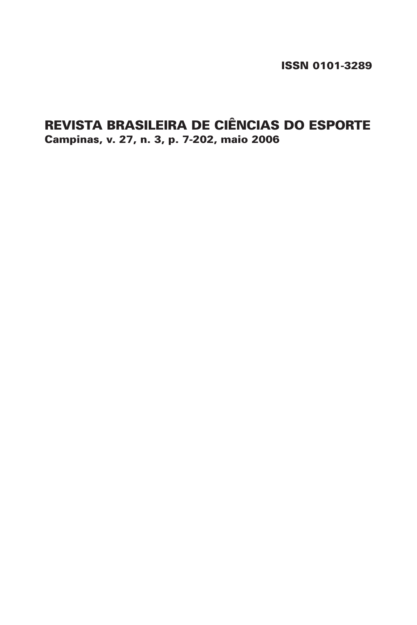ISSN 0101-3289

# REVISTA BRASILEIRA DE CIÊNCIAS DO ESPORTE Campinas, v. 27, n. 3, p. 7-202, maio 2006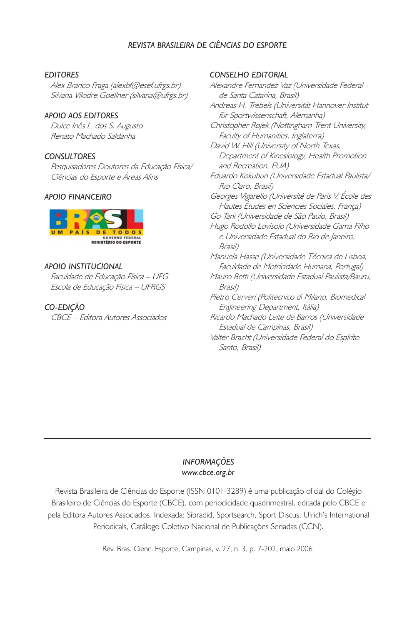## REVISTA BRASILEIRA DE CIÊNCIAS DO ESPORTE

#### EDITORES

Alex Branco Fraga (alexbf@esef.ufrgs.br) Silvana Vilodre Goellner (silvana@ufrgs.br)

#### APOIO AOS EDITORES

Dulce Inês L. dos S. Augusto Renato Machado Saldanha

#### **CONSULTORES**

Pesquisadores Doutores da Educação Física/ Ciências do Esporte e Áreas Afins

#### APOIO FINANCEIRO



#### APOIO INSTITUCIONAL

Faculdade de Educação Física – UFG Escola de Educação Física – UFRGS

#### CO-EDIÇÃO

CBCE – Editora Autores Associados

#### CONSELHO EDITORIAL

Alexandre Fernandez Vaz (Universidade Federal de Santa Catarina, Brasil) Andreas H. Trebels (Universität Hannover Institut für Sportwissenschaft, Alemanha) Christopher Rojek (Nottingham Trent University, Faculty of Humanities, Inglaterra) David W. Hill (University of North Texas, Department of Kinesiology, Health Promotion and Recreation, EUA) Eduardo Kokubun (Universidade Estadual Paulista/ Rio Claro, Brasil) Georges Vigarello (Université de Paris V, École des Hautes Études en Sciencies Sociales, França) Go Tani (Universidade de São Paulo, Brasil) Hugo Rodolfo Lovisolo (Universidade Gama Filho e Universidade Estadual do Rio de Janeiro, Brasil) Manuela Hasse (Universidade Técnica de Lisboa, Faculdade de Motricidade Humana, Portugal) Mauro Betti (Universidade Estadual Paulista/Bauru, Brasil) Pietro Cerveri (Politecnico di Milano, Biomedical Engineering Department, Itália) Ricardo Machado Leite de Barros (Universidade Estadual de Campinas, Brasil) Valter Bracht (Universidade Federal do Espírito Santo, Brasil)

#### INFORMAÇÕES www.cbce.org.br

Revista Brasileira de Ciências do Esporte (ISSN 0101-3289) é uma publicação oficial do Colégio Brasileiro de Ciências do Esporte (CBCE), com periodicidade quadrimestral, editada pelo CBCE e pela Editora Autores Associados. Indexada: Sibradid, Sportsearch, Sport Discus, Ulrich's International Periodicals, Catálogo Coletivo Nacional de Publicações Seriadas (CCN).

Rev. Bras. Cienc. Esporte, Campinas, v. 27, n. 3, p. 7-202, maio 2006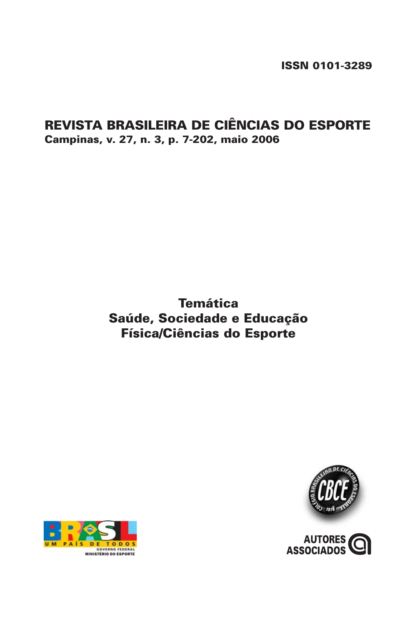ISSN 0101-3289

## REVISTA BRASILEIRA DE CIÊNCIAS DO ESPORTE Campinas, v. 27, n. 3, p. 7-202, maio 2006

# **Temática** Saúde, Sociedade e Educação Física/Ciências do Esporte



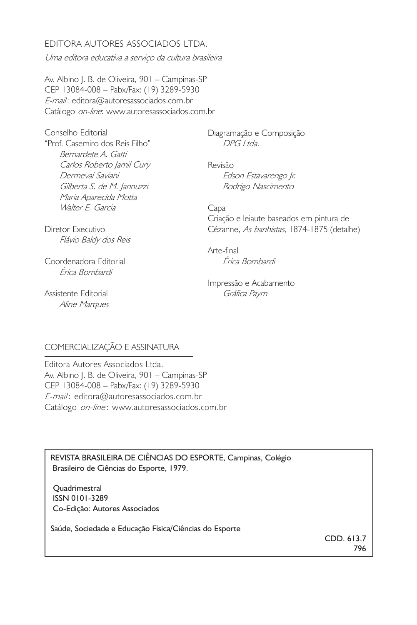## EDITORA AUTORES ASSOCIADOS LTDA.

Uma editora educativa a serviço da cultura brasileira

Av. Albino J. B. de Oliveira, 901 – Campinas-SP CEP 13084-008 – Pabx/Fax: (19) 3289-5930 E-mail: editora@autoresassociados.com.br Catálogo on-line: www.autoresassociados.com.br

Conselho Editorial "Prof. Casemiro dos Reis Filho" Bernardete A. Gatti Carlos Roberto Jamil Cury Dermeval Saviani Gilberta S. de M. Jannuzzi Maria Aparecida Motta Walter E. Garcia

Diagramação e Composição DPG Ltda.

Revisão Edson Estavarengo Jr. Rodrigo Nascimento

Capa Criação e leiaute baseados em pintura de Cézanne, As banhistas, 1874-1875 (detalhe)

Diretor Executivo Flávio Baldy dos Reis

Coordenadora Editorial Érica Bombardi

Assistente Editorial Aline Marques

Érica Bombardi Impressão e Acabamento

Gráfica Paym

Arte-final

## COMERCIALIZAÇÃO E ASSINATURA

Editora Autores Associados Ltda. Av. Albino J. B. de Oliveira, 901 – Campinas-SP CEP 13084-008 – Pabx/Fax: (19) 3289-5930 E-mail: editora@autoresassociados.com.br Catálogo on-line: www.autoresassociados.com.br

REVISTA BRASILEIRA DE CIÊNCIAS DO ESPORTE, Campinas, Colégio Brasileiro de Ciências do Esporte, 1979.

 Quadrimestral ISSN 0101-3289 Co-Edição: Autores Associados

Saúde, Sociedade e Educação Física/Ciências do Esporte

CDD. 613.7 796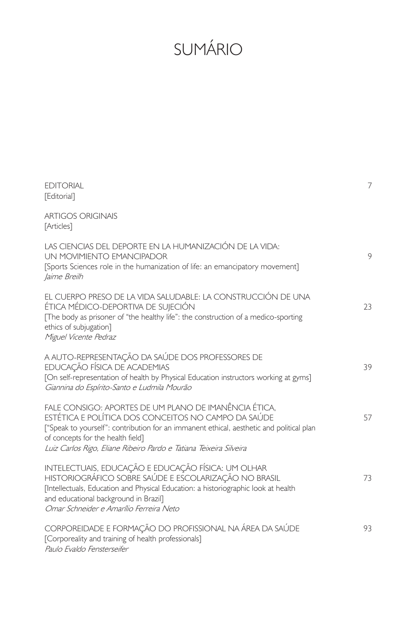# SUMÁRIO

| <b>FDITORIAL</b><br>[Editorial]                                                                                                                                                                                                                                                                                     | 7  |
|---------------------------------------------------------------------------------------------------------------------------------------------------------------------------------------------------------------------------------------------------------------------------------------------------------------------|----|
| <b>ARTIGOS ORIGINAIS</b><br>[Articles]                                                                                                                                                                                                                                                                              |    |
| LAS CIENCIAS DEL DEPORTE EN LA HUMANIZACIÓN DE LA VIDA:<br>UN MOVIMIENTO EMANCIPADOR<br>[Sports Sciences role in the humanization of life: an emancipatory movement]<br>Jaime Breilh                                                                                                                                | 9  |
| EL CUERPO PRESO DE LA VIDA SALUDABLE: LA CONSTRUCCIÓN DE UNA<br>ÉTICA MÉDICO-DEPORTIVA DE SUJECIÓN<br>The body as prisoner of "the healthy life": the construction of a medico-sporting<br>ethics of subjugation]<br>Miguel Vicente Pedraz                                                                          | 23 |
| A AUTO-REPRESENTAÇÃO DA SAÚDE DOS PROFESSORES DE<br>EDUCAÇÃO FÍSICA DE ACADEMIAS<br>[On self-representation of health by Physical Education instructors working at gyms]<br>Giannina do Espírito-Santo e Ludmila Mourão                                                                                             | 39 |
| FALE CONSIGO: APORTES DE UM PLANO DE IMANÊNCIA ÉTICA.<br>ESTÉTICA E POLÍTICA DOS CONCEITOS NO CAMPO DA SAÚDE<br>["Speak to yourself": contribution for an immanent ethical, aesthetic and political plan<br>of concepts for the health field]<br>Luiz Carlos Rigo, Eliane Ribeiro Pardo e Tatiana Teixeira Silveira | 57 |
| INTELECTUAIS, EDUCAÇÃO E EDUCAÇÃO FÍSICA: UM OLHAR<br>HISTORIOGRÁFICO SOBRE SAÚDE E ESCOLARIZAÇÃO NO BRASIL<br>[Intellectuals, Education and Physical Education: a historiographic look at health<br>and educational background in Brazil]<br>Omar Schneider e Amarílio Ferreira Neto                               | 73 |
| CORPOREIDADE E FORMAÇÃO DO PROFISSIONAL NA ÁREA DA SAÚDE<br>[Corporeality and training of health professionals]<br>Paulo Evaldo Fensterseifer                                                                                                                                                                       | 93 |